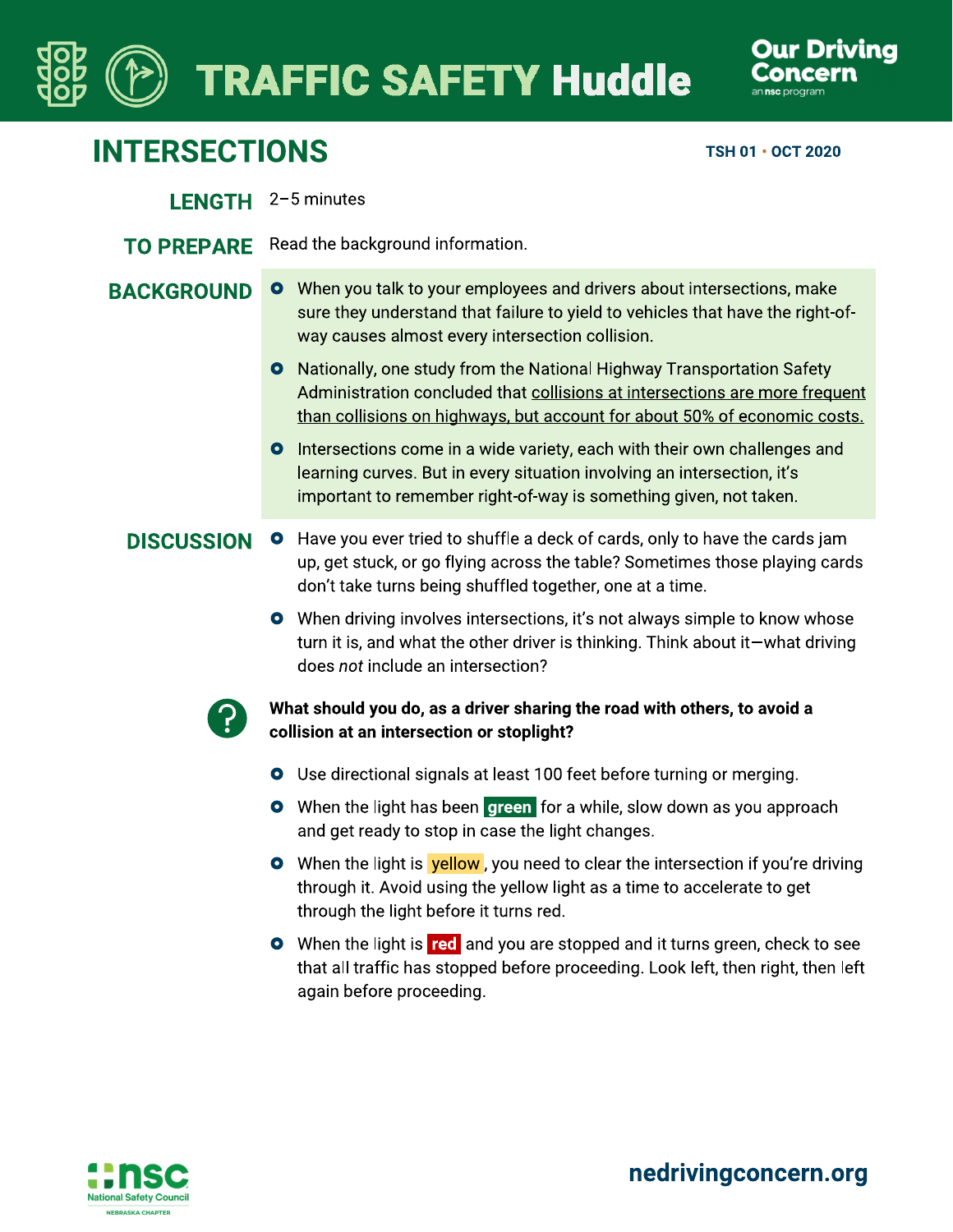# **TRAFFIC SAFETY Huddle**



## **INTERSECTIONS**

TSH 01 · OCT 2020

- LENGTH 2-5 minutes
- TO PREPARE Read the background information.
- O When you talk to your employees and drivers about intersections, make **BACKGROUND** sure they understand that failure to yield to vehicles that have the right-ofway causes almost every intersection collision.
	- **O** Nationally, one study from the National Highway Transportation Safety Administration concluded that collisions at intersections are more frequent than collisions on highways, but account for about 50% of economic costs.
	- Intersections come in a wide variety, each with their own challenges and  $\bullet$ learning curves. But in every situation involving an intersection, it's important to remember right-of-way is something given, not taken.
	- **O** Have you ever tried to shuffle a deck of cards, only to have the cards jam **DISCUSSION** up, get stuck, or go flying across the table? Sometimes those playing cards don't take turns being shuffled together, one at a time.
		- **O** When driving involves intersections, it's not always simple to know whose turn it is, and what the other driver is thinking. Think about it—what driving does not include an intersection?



- What should you do, as a driver sharing the road with others, to avoid a collision at an intersection or stoplight?
- O Use directional signals at least 100 feet before turning or merging.
- **O** When the light has been green for a while, slow down as you approach and get ready to stop in case the light changes.
- **O** When the light is **yellow**, you need to clear the intersection if you're driving through it. Avoid using the yellow light as a time to accelerate to get through the light before it turns red.
- **O** When the light is red and you are stopped and it turns green, check to see that all traffic has stopped before proceeding. Look left, then right, then left again before proceeding.